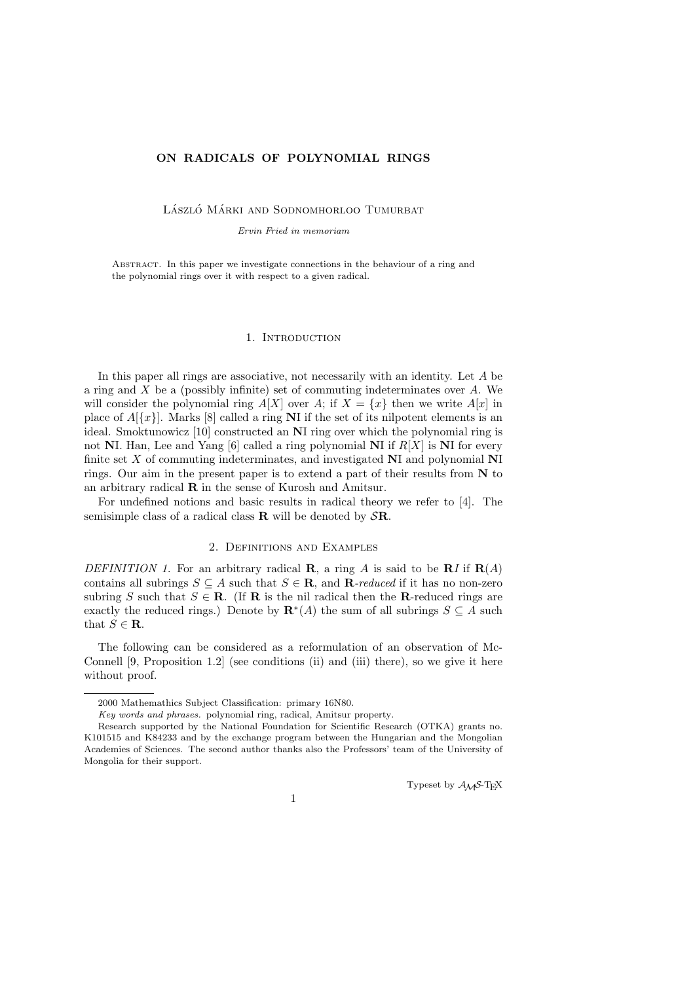# ON RADICALS OF POLYNOMIAL RINGS

LÁSZLÓ MÁRKI AND SODNOMHORLOO TUMURBAT

Ervin Fried in memoriam

Abstract. In this paper we investigate connections in the behaviour of a ring and the polynomial rings over it with respect to a given radical.

## 1. INTRODUCTION

In this paper all rings are associative, not necessarily with an identity. Let A be a ring and  $X$  be a (possibly infinite) set of commuting indeterminates over  $A$ . We will consider the polynomial ring  $A[X]$  over A; if  $X = \{x\}$  then we write  $A[x]$  in place of  $A[{x}]$ . Marks [8] called a ring NI if the set of its nilpotent elements is an ideal. Smoktunowicz [10] constructed an NI ring over which the polynomial ring is not NI. Han, Lee and Yang [6] called a ring polynomial NI if  $R[X]$  is NI for every finite set X of commuting indeterminates, and investigated NI and polynomial NI rings. Our aim in the present paper is to extend a part of their results from  $N$  to an arbitrary radical R in the sense of Kurosh and Amitsur.

For undefined notions and basic results in radical theory we refer to [4]. The semisimple class of a radical class  $\bf{R}$  will be denoted by  $S\bf{R}$ .

## 2. Definitions and Examples

DEFINITION 1. For an arbitrary radical **R**, a ring A is said to be **R**I if  $\mathbf{R}(A)$ contains all subrings  $S \subseteq A$  such that  $S \in \mathbf{R}$ , and  $\mathbf{R}\text{-reduced if it has no non-zero}$ subring S such that  $S \in \mathbf{R}$ . (If **R** is the nil radical then the **R**-reduced rings are exactly the reduced rings.) Denote by  $\mathbf{R}^*(A)$  the sum of all subrings  $S \subseteq A$  such that  $S \in \mathbf{R}$ .

The following can be considered as a reformulation of an observation of Mc-Connell [9, Proposition 1.2] (see conditions (ii) and (iii) there), so we give it here without proof.

Typeset by  $\mathcal{A} \mathcal{M} \mathcal{S}$ -TEX

<sup>2000</sup> Mathemathics Subject Classification: primary 16N80.

Key words and phrases. polynomial ring, radical, Amitsur property.

Research supported by the National Foundation for Scientific Research (OTKA) grants no. K101515 and K84233 and by the exchange program between the Hungarian and the Mongolian Academies of Sciences. The second author thanks also the Professors' team of the University of Mongolia for their support.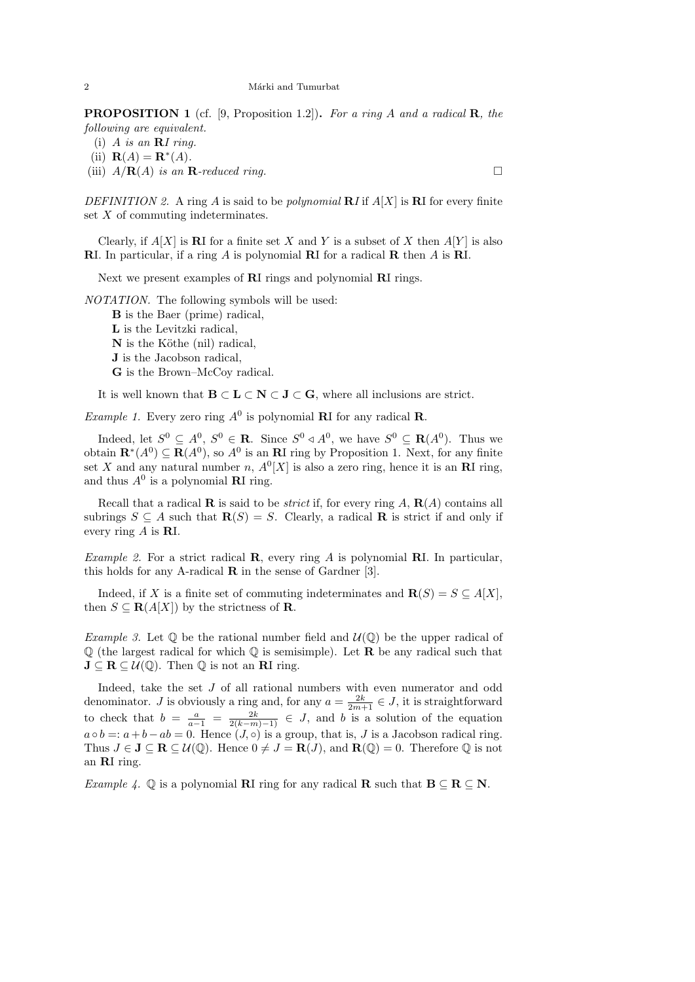**PROPOSITION 1** (cf. [9, Proposition 1.2]). For a ring A and a radical **R**, the following are equivalent.

- (i) A is an  $\mathbf{R}$ I ring.
- (ii)  $\mathbf{R}(A) = \mathbf{R}^*(A)$ .
- (iii)  $A/\mathbf{R}(A)$  is an **R**-reduced ring.

DEFINITION 2. A ring A is said to be *polynomial*  $\mathbf{R} I$  if  $A[X]$  is  $\mathbf{R} I$  for every finite set X of commuting indeterminates.

Clearly, if  $A[X]$  is RI for a finite set X and Y is a subset of X then  $A[Y]$  is also RI. In particular, if a ring A is polynomial RI for a radical R then A is RI.

Next we present examples of RI rings and polynomial RI rings.

NOTATION. The following symbols will be used:

B is the Baer (prime) radical, L is the Levitzki radical,  $N$  is the Köthe (nil) radical, J is the Jacobson radical, G is the Brown–McCoy radical.

It is well known that  $B \subset L \subset N \subset J \subset G$ , where all inclusions are strict.

*Example 1.* Every zero ring  $A^0$  is polynomial **R**I for any radical **R**.

Indeed, let  $S^0 \subseteq A^0$ ,  $S^0 \in \mathbf{R}$ . Since  $S^0 \triangleleft A^0$ , we have  $S^0 \subseteq \mathbf{R}(A^0)$ . Thus we obtain  $\mathbf{R}^*(A^0) \subseteq \mathbf{R}(A^0)$ , so  $A^0$  is an  $\mathbf{R}$ I ring by Proposition 1. Next, for any finite set X and any natural number n,  $A^0[X]$  is also a zero ring, hence it is an **RI** ring, and thus  $A^0$  is a polynomial **RI** ring.

Recall that a radical **R** is said to be *strict* if, for every ring  $A$ ,  $\mathbf{R}(A)$  contains all subrings  $S \subseteq A$  such that  $\mathbf{R}(S) = S$ . Clearly, a radical **R** is strict if and only if every ring A is RI.

*Example 2.* For a strict radical **R**, every ring A is polynomial **RI**. In particular, this holds for any A-radical  $\bf{R}$  in the sense of Gardner [3].

Indeed, if X is a finite set of commuting indeterminates and  $\mathbf{R}(S) = S \subseteq A[X]$ , then  $S \subseteq \mathbf{R}(A[X])$  by the strictness of **R**.

*Example 3.* Let  $\mathbb Q$  be the rational number field and  $\mathcal U(\mathbb Q)$  be the upper radical of  $\mathbb Q$  (the largest radical for which  $\mathbb Q$  is semisimple). Let **R** be any radical such that  $J \subseteq R \subseteq U(\mathbb{Q})$ . Then  $\mathbb Q$  is not an RI ring.

Indeed, take the set J of all rational numbers with even numerator and odd denominator. *J* is obviously a ring and, for any  $a = \frac{2k}{2m+1} \in J$ , it is straightforward to check that  $b = \frac{a}{a-1} = \frac{2k}{2(k-m)-1} \in J$ , and b is a solution of the equation  $a \circ b =: a + b - ab = 0$ . Hence  $(J, \circ)$  is a group, that is, J is a Jacobson radical ring. Thus  $J \in \mathbf{J} \subseteq \mathbf{R} \subseteq \mathcal{U}(\mathbb{Q})$ . Hence  $0 \neq J = \mathbf{R}(J)$ , and  $\mathbf{R}(\mathbb{Q}) = 0$ . Therefore  $\mathbb{Q}$  is not an RI ring.

Example 4.  $\mathbb Q$  is a polynomial **RI** ring for any radical **R** such that  $B \subseteq R \subseteq N$ .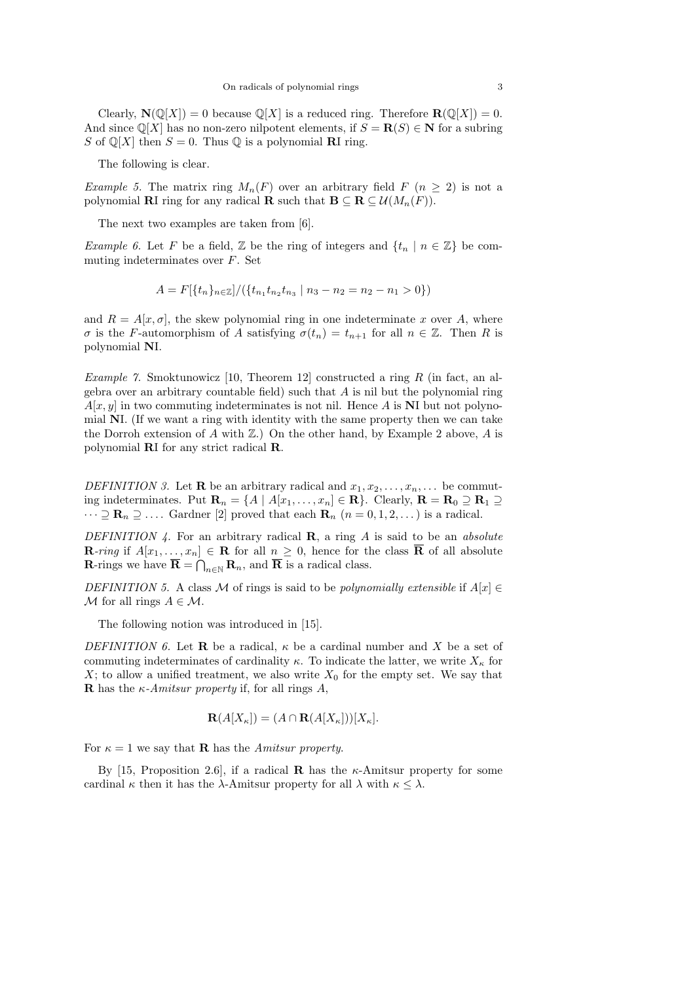Clearly,  $N(\mathbb{Q}[X]) = 0$  because  $\mathbb{Q}[X]$  is a reduced ring. Therefore  $\mathbf{R}(\mathbb{Q}[X]) = 0$ . And since  $\mathbb{Q}[X]$  has no non-zero nilpotent elements, if  $S = \mathbf{R}(S) \in \mathbb{N}$  for a subring S of  $\mathbb{Q}[X]$  then  $S = 0$ . Thus  $\mathbb{Q}$  is a polynomial **RI** ring.

The following is clear.

Example 5. The matrix ring  $M_n(F)$  over an arbitrary field  $F(n \geq 2)$  is not a polynomial **RI** ring for any radical **R** such that  $\mathbf{B} \subseteq \mathbf{R} \subseteq \mathcal{U}(M_n(F)).$ 

The next two examples are taken from [6].

*Example 6.* Let F be a field, Z be the ring of integers and  $\{t_n \mid n \in \mathbb{Z}\}\$  be commuting indeterminates over F. Set

$$
A = F[{t_n}_{n \in \mathbb{Z}}]/({t_{n_1}t_{n_2}t_{n_3} | n_3 - n_2 = n_2 - n_1 > 0})
$$

and  $R = A[x, \sigma]$ , the skew polynomial ring in one indeterminate x over A, where σ is the F-automorphism of A satisfying  $\sigma(t_n) = t_{n+1}$  for all  $n \in \mathbb{Z}$ . Then R is polynomial NI.

Example 7. Smoktunowicz [10, Theorem 12] constructed a ring  $R$  (in fact, an algebra over an arbitrary countable field) such that  $A$  is nil but the polynomial ring  $A[x, y]$  in two commuting indeterminates is not nil. Hence A is NI but not polynomial NI. (If we want a ring with identity with the same property then we can take the Dorroh extension of A with  $\mathbb{Z}$ .) On the other hand, by Example 2 above, A is polynomial RI for any strict radical R.

DEFINITION 3. Let **R** be an arbitrary radical and  $x_1, x_2, \ldots, x_n, \ldots$  be commuting indeterminates. Put  $\mathbf{R}_n = \{A \mid A[x_1,\ldots,x_n] \in \mathbf{R}\}\$ . Clearly,  $\mathbf{R} = \mathbf{R}_0 \supseteq \mathbf{R}_1 \supseteq \mathbf{R}_2$  $\cdots \supseteq \mathbf{R}_n \supseteq \ldots$  Gardner [2] proved that each  $\mathbf{R}_n$   $(n = 0, 1, 2, \ldots)$  is a radical.

DEFINITION 4. For an arbitrary radical  $\mathbf{R}$ , a ring A is said to be an absolute **R**-ring if  $A[x_1,\ldots,x_n] \in \mathbf{R}$  for all  $n \geq 0$ , hence for the class  $\overline{\mathbf{R}}$  of all absolute **R**-rings we have  $\overline{\mathbf{R}} = \bigcap_{n \in \mathbb{N}} \mathbf{R}_n$ , and  $\overline{\mathbf{R}}$  is a radical class.

DEFINITION 5. A class M of rings is said to be *polynomially extensible* if  $A[x] \in$  $M$  for all rings  $A \in \mathcal{M}$ .

The following notion was introduced in [15].

DEFINITION 6. Let **R** be a radical,  $\kappa$  be a cardinal number and X be a set of commuting indeterminates of cardinality  $\kappa$ . To indicate the latter, we write  $X_{\kappa}$  for  $X$ ; to allow a unified treatment, we also write  $X_0$  for the empty set. We say that **R** has the  $\kappa$ -Amitsur property if, for all rings A,

$$
\mathbf{R}(A[X_{\kappa}]) = (A \cap \mathbf{R}(A[X_{\kappa}]))[X_{\kappa}].
$$

For  $\kappa = 1$  we say that **R** has the *Amitsur property.* 

By [15, Proposition 2.6], if a radical **R** has the  $\kappa$ -Amitsur property for some cardinal  $\kappa$  then it has the  $\lambda$ -Amitsur property for all  $\lambda$  with  $\kappa \leq \lambda$ .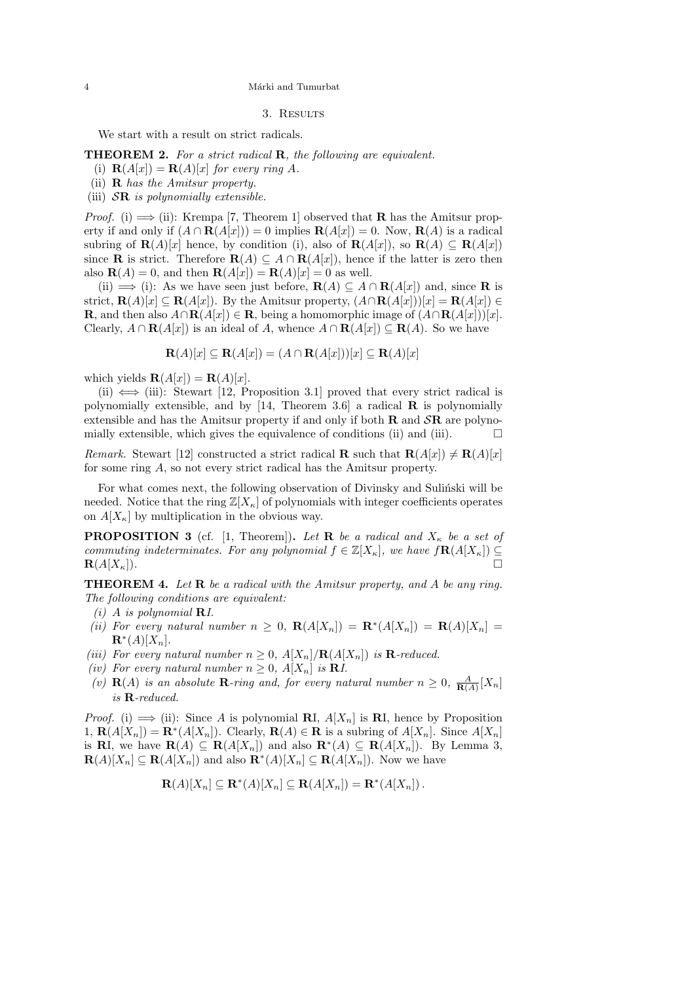### 3. RESULTS

We start with a result on strict radicals.

**THEOREM 2.** For a strict radical **R**, the following are equivalent.

- (i)  $\mathbf{R}(A[x]) = \mathbf{R}(A)[x]$  for every ring A.
- (ii) R has the Amitsur property.
- (iii)  $S\mathbf{R}$  is polynomially extensible.

*Proof.* (i)  $\implies$  (ii): Krempa [7, Theorem 1] observed that **R** has the Amitsur property if and only if  $(A \cap \mathbf{R}(A|x)) = 0$  implies  $\mathbf{R}(A|x|) = 0$ . Now,  $\mathbf{R}(A)$  is a radical subring of  $\mathbf{R}(A)[x]$  hence, by condition (i), also of  $\mathbf{R}(A[x])$ , so  $\mathbf{R}(A) \subseteq \mathbf{R}(A[x])$ since **R** is strict. Therefore  $\mathbf{R}(A) \subseteq A \cap \mathbf{R}(A[x])$ , hence if the latter is zero then also  $\mathbf{R}(A) = 0$ , and then  $\mathbf{R}(A[x]) = \mathbf{R}(A)[x] = 0$  as well.

(ii)  $\implies$  (i): As we have seen just before,  $\mathbf{R}(A) \subseteq A \cap \mathbf{R}(A[x])$  and, since **R** is strict,  $\mathbf{R}(A)[x] \subseteq \mathbf{R}(A[x])$ . By the Amitsur property,  $(A \cap \mathbf{R}(A[x]))[x] = \mathbf{R}(A[x]) \in$ **R**, and then also  $A \cap \mathbf{R}(A[x]) \in \mathbf{R}$ , being a homomorphic image of  $(A \cap \mathbf{R}(A[x]))[x]$ . Clearly,  $A \cap \mathbf{R}(A[x])$  is an ideal of A, whence  $A \cap \mathbf{R}(A[x]) \subseteq \mathbf{R}(A)$ . So we have

$$
\mathbf{R}(A)[x] \subseteq \mathbf{R}(A[x]) = (A \cap \mathbf{R}(A[x]))[x] \subseteq \mathbf{R}(A)[x]
$$

which yields  $\mathbf{R}(A[x]) = \mathbf{R}(A)[x]$ .

(ii)  $\iff$  (iii): Stewart [12, Proposition 3.1] proved that every strict radical is polynomially extensible, and by [14, Theorem 3.6] a radical  $\bf{R}$  is polynomially extensible and has the Amitsur property if and only if both  $\bf{R}$  and  $\bf{SR}$  are polynomially extensible, which gives the equivalence of conditions (ii) and (iii).  $\Box$ 

Remark. Stewart [12] constructed a strict radical **R** such that  $\mathbf{R}(A[x]) \neq \mathbf{R}(A)[x]$ for some ring A, so not every strict radical has the Amitsur property.

For what comes next, the following observation of Divinsky and Sulinski will be needed. Notice that the ring  $\mathbb{Z}[X_{\kappa}]$  of polynomials with integer coefficients operates on  $A[X_{\kappa}]$  by multiplication in the obvious way.

**PROPOSITION 3** (cf. [1, Theorem]). Let **R** be a radical and  $X_{\kappa}$  be a set of commuting indeterminates. For any polynomial  $f \in \mathbb{Z}[X_{\kappa}]$ , we have  $f\mathbf{R}(A[X_{\kappa}]) \subseteq$  $\mathbf{R}(A[X_{\kappa}])$ .

THEOREM 4. Let R be a radical with the Amitsur property, and A be any ring. The following conditions are equivalent:

- $(i)$  A is polynomial **R**I.
- (ii) For every natural number  $n \geq 0$ ,  $\mathbf{R}(A[X_n]) = \mathbf{R}^*(A[X_n]) = \mathbf{R}(A)[X_n] =$  $\mathbf{R}^*(A)[X_n].$
- (iii) For every natural number  $n \geq 0$ ,  $A[X_n]/\mathbf{R}(A[X_n])$  is **R**-reduced.
- (iv) For every natural number  $n \geq 0$ ,  $A[X_n]$  is **R**I.
- (v)  $\mathbf{R}(A)$  is an absolute **R**-ring and, for every natural number  $n \geq 0$ ,  $\frac{A}{\mathbf{R}(A)}[X_n]$ is R-reduced.

*Proof.* (i)  $\implies$  (ii): Since A is polynomial **RI**,  $A[X_n]$  is **RI**, hence by Proposition 1,  $\mathbf{R}(A[X_n]) = \mathbf{R}^*(A[X_n])$ . Clearly,  $\mathbf{R}(A) \in \mathbf{R}$  is a subring of  $A[X_n]$ . Since  $A[X_n]$ is **RI**, we have  $\mathbf{R}(A) \subseteq \mathbf{R}(A[X_n])$  and also  $\mathbf{R}^*(A) \subseteq \mathbf{R}(A[X_n])$ . By Lemma 3,  $\mathbf{R}(A)[X_n] \subseteq \mathbf{R}(A[X_n])$  and also  $\mathbf{R}^*(A)[X_n] \subseteq \mathbf{R}(A[X_n])$ . Now we have

$$
\mathbf{R}(A)[X_n] \subseteq \mathbf{R}^*(A)[X_n] \subseteq \mathbf{R}(A[X_n]) = \mathbf{R}^*(A[X_n])\,.
$$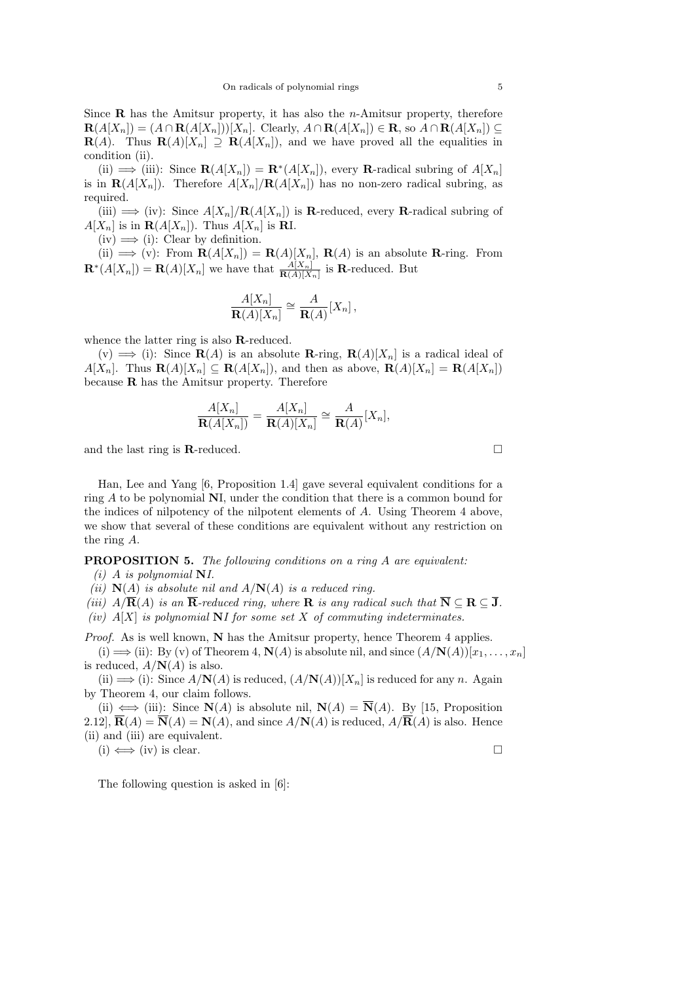Since  **has the Amitsur property, it has also the** *n***-Amitsur property, therefore**  $\mathbf{R}(A[X_n]) = (A \cap \mathbf{R}(A[X_n]))[X_n]$ . Clearly,  $A \cap \mathbf{R}(A[X_n]) \in \mathbf{R}$ , so  $A \cap \mathbf{R}(A[X_n]) \subseteq$  $\mathbf{R}(A)$ . Thus  $\mathbf{R}(A)[X_n] \supseteq \mathbf{R}(A[X_n])$ , and we have proved all the equalities in condition (ii).

(ii)  $\implies$  (iii): Since  $\mathbf{R}(A[X_n]) = \mathbf{R}^*(A[X_n])$ , every  $\mathbf{R}$ -radical subring of  $A[X_n]$ is in  $\mathbf{R}(A[X_n])$ . Therefore  $A[X_n]/\mathbf{R}(A[X_n])$  has no non-zero radical subring, as required.

(iii)  $\implies$  (iv): Since  $A[X_n]/\mathbf{R}(A[X_n])$  is **R**-reduced, every **R**-radical subring of  $A[X_n]$  is in  $\mathbf{R}(A[X_n])$ . Thus  $A[X_n]$  is RI.

 $(iv) \implies (i)$ : Clear by definition.

(ii)  $\implies$  (v): From  $\mathbf{R}(A[X_n]) = \mathbf{R}(A)[X_n]$ ,  $\mathbf{R}(A)$  is an absolute  $\mathbf{R}\text{-ring.}$  From  $\mathbf{R}^*(A[X_n]) = \mathbf{R}(A)[X_n]$  we have that  $\frac{A[X_n]}{\mathbf{R}(A)[X_n]}$  is **R**-reduced. But

$$
\frac{A[X_n]}{\mathbf{R}(A)[X_n]} \cong \frac{A}{\mathbf{R}(A)}[X_n],
$$

whence the latter ring is also R-reduced.

 $(v) \implies$  (i): Since  $\mathbf{R}(A)$  is an absolute **R**-ring,  $\mathbf{R}(A)[X_n]$  is a radical ideal of  $A[X_n]$ . Thus  $\mathbf{R}(A)[X_n] \subseteq \mathbf{R}(A[X_n])$ , and then as above,  $\mathbf{R}(A)[X_n] = \mathbf{R}(A[X_n])$ because  **has the Amitsur property. Therefore** 

$$
\frac{A[X_n]}{\mathbf{R}(A[X_n])} = \frac{A[X_n]}{\mathbf{R}(A)[X_n]} \cong \frac{A}{\mathbf{R}(A)}[X_n],
$$

and the last ring is **R**-reduced.  $\Box$ 

Han, Lee and Yang [6, Proposition 1.4] gave several equivalent conditions for a ring A to be polynomial NI, under the condition that there is a common bound for the indices of nilpotency of the nilpotent elements of A. Using Theorem 4 above, we show that several of these conditions are equivalent without any restriction on the ring A.

PROPOSITION 5. The following conditions on a ring A are equivalent:

 $(i)$  A is polynomial NI.

(ii)  $N(A)$  is absolute nil and  $A/N(A)$  is a reduced ring.

(iii)  $A/\overline{\mathbf{R}}(A)$  is an  $\overline{\mathbf{R}}$ -reduced ring, where  $\mathbf{R}$  is any radical such that  $\overline{\mathbf{N}} \subseteq \mathbf{R} \subseteq \overline{\mathbf{J}}$ .

(iv)  $A[X]$  is polynomial NI for some set X of commuting indeterminates.

*Proof.* As is well known,  $N$  has the Amitsur property, hence Theorem 4 applies.

(i)  $\implies$  (ii): By (v) of Theorem 4,  $\mathbf{N}(A)$  is absolute nil, and since  $(A/\mathbf{N}(A))[x_1,\ldots,x_n]$ is reduced,  $A/N(A)$  is also.

(ii)  $\implies$  (i): Since  $A/N(A)$  is reduced,  $(A/N(A))[X_n]$  is reduced for any n. Again by Theorem 4, our claim follows.

(ii)  $\iff$  (iii): Since  $N(A)$  is absolute nil,  $N(A) = \overline{N}(A)$ . By [15, Proposition 2.12],  $\overline{\mathbf{R}}(A) = \overline{\mathbf{N}}(A) = \mathbf{N}(A)$ , and since  $A/\mathbf{N}(A)$  is reduced,  $A/\overline{\mathbf{R}}(A)$  is also. Hence (ii) and (iii) are equivalent.  $(i) \iff (iv)$  is clear.

The following question is asked in [6]: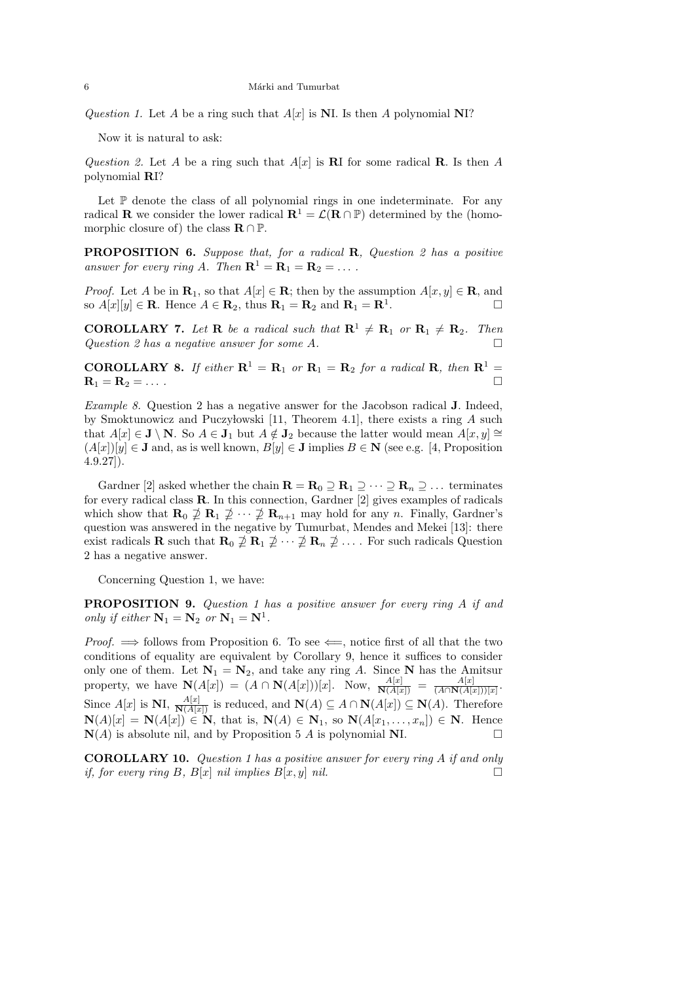Question 1. Let A be a ring such that  $A[x]$  is NI. Is then A polynomial NI?

Now it is natural to ask:

Question 2. Let A be a ring such that  $A[x]$  is RI for some radical R. Is then A polynomial RI?

Let  $\mathbb P$  denote the class of all polynomial rings in one indeterminate. For any radical **R** we consider the lower radical  $\mathbf{R}^1 = \mathcal{L}(\mathbf{R} \cap \mathbb{P})$  determined by the (homomorphic closure of) the class  $\mathbf{R} \cap \mathbb{P}$ .

PROPOSITION 6. Suppose that, for a radical R, Question 2 has a positive answer for every ring A. Then  $\mathbf{R}^1 = \mathbf{R}_1 = \mathbf{R}_2 = \dots$ .

*Proof.* Let A be in  $\mathbf{R}_1$ , so that  $A[x] \in \mathbf{R}$ ; then by the assumption  $A[x, y] \in \mathbf{R}$ , and so  $A[x][y] \in \mathbf{R}$ . Hence  $A \in \mathbf{R}_2$ , thus  $\mathbf{R}_1 = \mathbf{R}_2$  and  $\mathbf{R}_1 = \mathbf{R}^1$ . .

**COROLLARY 7.** Let **R** be a radical such that  $\mathbb{R}^1 \neq \mathbb{R}_1$  or  $\mathbb{R}_1 \neq \mathbb{R}_2$ . Then Question 2 has a negative answer for some  $A$ .

**COROLLARY 8.** If either  $\mathbb{R}^1 = \mathbb{R}_1$  or  $\mathbb{R}_1 = \mathbb{R}_2$  for a radical  $\mathbb{R}$ , then  $\mathbb{R}^1 =$  $\mathbf{R}_1 = \mathbf{R}_2 = \dots$  .

Example 8. Question 2 has a negative answer for the Jacobson radical J. Indeed, by Smoktunowicz and Puczyłowski [11, Theorem 4.1], there exists a ring  $A$  such that  $A[x] \in \mathbf{J} \setminus \mathbf{N}$ . So  $A \in \mathbf{J}_1$  but  $A \notin \mathbf{J}_2$  because the latter would mean  $A[x, y] \cong$  $(A[x])[y]\in J$  and, as is well known,  $B[y]\in J$  implies  $B\in N$  (see e.g. [4, Proposition  $(4.9.27)$ .

Gardner [2] asked whether the chain  $\mathbf{R} = \mathbf{R}_0 \supseteq \mathbf{R}_1 \supseteq \cdots \supseteq \mathbf{R}_n \supseteq \cdots$  terminates for every radical class  $\bf{R}$ . In this connection, Gardner [2] gives examples of radicals which show that  $\mathbf{R}_0 \not\supseteq \mathbf{R}_1 \not\supseteq \cdots \not\supseteq \mathbf{R}_{n+1}$  may hold for any n. Finally, Gardner's question was answered in the negative by Tumurbat, Mendes and Mekei [13]: there exist radicals **R** such that  $\mathbf{R}_0 \not\supseteq \mathbf{R}_1 \not\supseteq \cdots \not\supseteq \mathbf{R}_n \not\supseteq \cdots$ . For such radicals Question 2 has a negative answer.

Concerning Question 1, we have:

**PROPOSITION 9.** Question 1 has a positive answer for every ring A if and only if either  $N_1 = N_2$  or  $N_1 = N^1$ .

*Proof.*  $\implies$  follows from Proposition 6. To see  $\Longleftarrow$ , notice first of all that the two conditions of equality are equivalent by Corollary 9, hence it suffices to consider only one of them. Let  $N_1 = N_2$ , and take any ring A. Since N has the Amitsur property, we have  $\mathbf{N}(A[x]) = (A \cap \mathbf{N}(A[x]))[x]$ . Now,  $\frac{A[x]}{\mathbf{N}(A[x])} = \frac{A[x]}{(A \cap \mathbf{N}(A[x]))}$  $\frac{A[x]}{(A \cap N(A[x]))[x]}$ . Since  $A[x]$  is NI,  $\frac{A[x]}{\mathbf{N}(A[x])}$  is reduced, and  $\mathbf{N}(A) \subseteq A \cap \mathbf{N}(A[x]) \subseteq \mathbf{N}(A)$ . Therefore  $\mathbf{N}(A)[x] = \mathbf{N}(A[x]) \in \mathbf{N}$ , that is,  $\mathbf{N}(A) \in \mathbf{N}_1$ , so  $\mathbf{N}(A[x_1, \ldots, x_n]) \in \mathbf{N}$ . Hence  $\mathbf{N}(A)$  is absolute nil, and by Proposition 5 A is polynomial NI.

COROLLARY 10. Question 1 has a positive answer for every ring A if and only if, for every ring B,  $B[x]$  nil implies  $B[x, y]$  nil.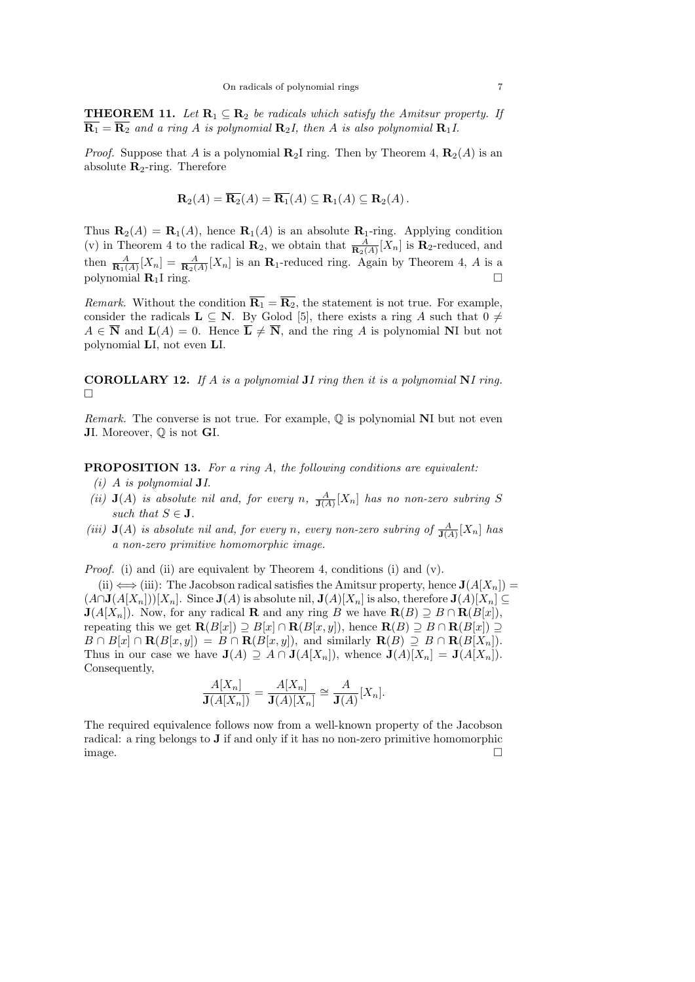**THEOREM 11.** Let  $\mathbf{R}_1 \subseteq \mathbf{R}_2$  be radicals which satisfy the Amitsur property. If  $\overline{\mathbf{R}_1} = \overline{\mathbf{R}_2}$  and a ring A is polynomial  $\mathbf{R}_2 I$ , then A is also polynomial  $\mathbf{R}_1 I$ .

*Proof.* Suppose that A is a polynomial  $\mathbb{R}_2$ I ring. Then by Theorem 4,  $\mathbb{R}_2(A)$  is an absolute  $\mathbf{R}_2$ -ring. Therefore

$$
\mathbf{R}_2(A) = \overline{\mathbf{R}_2}(A) = \overline{\mathbf{R}_1}(A) \subseteq \mathbf{R}_1(A) \subseteq \mathbf{R}_2(A).
$$

Thus  $\mathbf{R}_2(A) = \mathbf{R}_1(A)$ , hence  $\mathbf{R}_1(A)$  is an absolute  $\mathbf{R}_1$ -ring. Applying condition (v) in Theorem 4 to the radical  $\mathbf{R}_2$ , we obtain that  $\frac{A}{\mathbf{R}_2(A)}[X_n]$  is  $\mathbf{R}_2$ -reduced, and then  $\frac{A}{\mathbf{R}_1(A)}[X_n] = \frac{A}{\mathbf{R}_2(A)}[X_n]$  is an  $\mathbf{R}_1$ -reduced ring. Again by Theorem 4, A is a polynomial  $\mathbf{R}_1$ I ring.

*Remark.* Without the condition  $\overline{\mathbf{R}_1} = \overline{\mathbf{R}_2}$ , the statement is not true. For example, consider the radicals  $L \subseteq N$ . By Golod [5], there exists a ring A such that  $0 \neq$  $A \in \overline{\mathbf{N}}$  and  $\mathbf{L}(A) = 0$ . Hence  $\overline{\mathbf{L}} \neq \overline{\mathbf{N}}$ , and the ring A is polynomial NI but not polynomial LI, not even LI.

**COROLLARY 12.** If A is a polynomial **J**I ring then it is a polynomial **N**I ring. П

*Remark.* The converse is not true. For example,  $\mathbb{O}$  is polynomial NI but not even JI. Moreover, Q is not GI.

# **PROPOSITION 13.** For a ring A, the following conditions are equivalent:

- (i) A is polynomial JI.
- (ii)  $J(A)$  is absolute nil and, for every n,  $\frac{A}{J(A)}[X_n]$  has no non-zero subring S such that  $S \in \mathbf{J}$ .
- (iii)  $\mathbf{J}(A)$  is absolute nil and, for every n, every non-zero subring of  $\frac{A}{\mathbf{J}(A)}[X_n]$  has a non-zero primitive homomorphic image.

Proof. (i) and (ii) are equivalent by Theorem 4, conditions (i) and (v).

(ii)  $\Longleftrightarrow$  (iii): The Jacobson radical satisfies the Amitsur property, hence  $J(A[X_n])$  =  $(A \cap J(A[X_n]))[X_n]$ . Since  $J(A)$  is absolute nil,  $J(A)[X_n]$  is also, therefore  $J(A)[X_n] \subseteq$  $\mathbf{J}(A[X_n])$ . Now, for any radical **R** and any ring B we have  $\mathbf{R}(B) \supseteq B \cap \mathbf{R}(B[x])$ , repeating this we get  $\mathbf{R}(B[x]) \supseteq B[x] \cap \mathbf{R}(B[x,y])$ , hence  $\mathbf{R}(B) \supseteq B \cap \mathbf{R}(B[x]) \supseteq$  $B \cap B[x] \cap \mathbf{R}(B[x,y]) = B \cap \mathbf{R}(B[x,y])$ , and similarly  $\mathbf{R}(B) \supseteq B \cap \mathbf{R}(B[X_n])$ . Thus in our case we have  $J(A) \supseteq A \cap J(A[X_n])$ , whence  $J(A)[X_n] = J(A[X_n])$ . Consequently,

$$
\frac{A[X_n]}{\mathbf{J}(A[X_n])} = \frac{A[X_n]}{\mathbf{J}(A)[X_n]} \cong \frac{A}{\mathbf{J}(A)}[X_n].
$$

The required equivalence follows now from a well-known property of the Jacobson radical: a ring belongs to J if and only if it has no non-zero primitive homomorphic image.